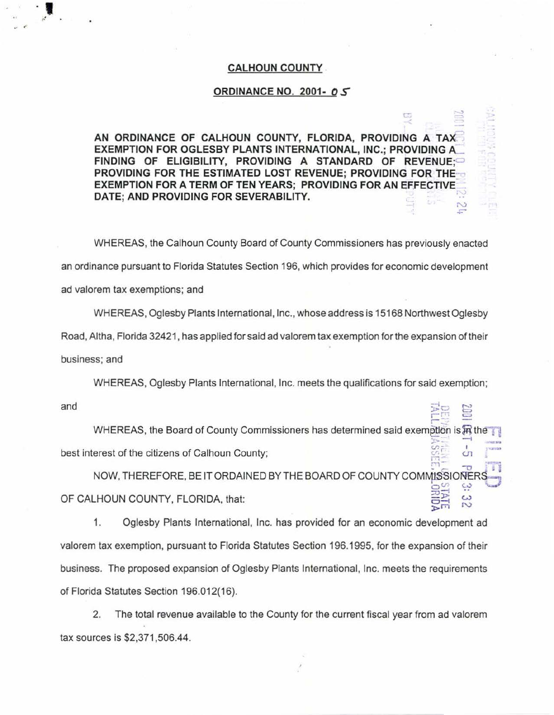## **CALHOUN COUNTY**

## **ORDINANCE NO. 2001- 0 S**

 $\overline{\phantom{0}}$ )<br>|}

**AN ORDINANCE OF CALHOUN COUNTY, FLORIDA, PROVIDING A TAX. EXEMPTION FOR OGLESBY PLANTS INTERNATIONAL, INC.; PROVIDING A\_ FINDING OF ELIGIBILITY, PROVIDING A STANDARD OF REVENUE:** PROVIDING FOR THE ESTIMATED LOST REVENUE; PROVIDING FOR THE<sup>\*</sup> **EXEMPTION FOR A TERM OF TEN YEARS; PROVIDING FOR AN EFFECTIVE-DATE; AND PROVIDING FOR SEVERABILITY.** '  $\mathcal{D}_{\mathcal{A}}$ 

WHEREAS, the Calhoun County Board of County Commissioners has previously enacted an ordinance pursuant to Florida Statutes Section 196, which provides for economic development ad valorem tax exemptions; and

WHEREAS, Oglesby Plants International, Inc., whose address is 15168 Northwest Oglesby Road, Altha, Florida 32421 , has applied for said ad valorem tax exemption for the expansion of their business; and

WHEREAS, Oglesby Plants International, Inc. meets the qualifications for said exemption;

and

.,

 $\frac{1}{2}$ <br> $\frac{1}{2}$ <br> $\frac{1}{2}$ <br> $\frac{1}{2}$ <br> $\frac{1}{2}$ <br> $\frac{1}{2}$ <br> $\frac{1}{2}$ <br> $\frac{1}{2}$ <br> $\frac{1}{2}$ <br> $\frac{1}{2}$ <br> $\frac{1}{2}$ <br> $\frac{1}{2}$ <br> $\frac{1}{2}$ <br><br> $\frac{1}{2}$ <br><br><br><br><br><br><br><br><br><br><br><br><br><br><br><br><br><br><br><br><br><br><br><br><br><br> WHEREAS, the Board of County Commissioners has determined said exemption is  $\mathbb H$  the .;.•- .... best interest of the citizens of Calhoun County;  $\mathbb{R}^2$  -o  $\mathbb{R}$ 

NOW, THEREFORE, BE IT ORDAINED BY THE BOARD OF COUNTY COMMISSIONE  $\frac{1}{2}$   $\frac{1}{2}$   $\frac{1}{2}$   $\frac{1}{2}$   $\frac{1}{2}$   $\frac{1}{2}$   $\frac{1}{2}$   $\frac{1}{2}$   $\frac{1}{2}$   $\frac{1}{2}$   $\frac{1}{2}$   $\frac{1}{2}$   $\frac{1}{2}$   $\frac{1}{2}$   $\frac{1}{2}$   $\frac{1}{2}$   $\frac{1}{2}$   $\frac{1}{2}$   $\frac{1}{2}$   $\frac{1}{2}$   $\frac{1}{2}$   $\frac{1}{2}$  OF CALHOUN COUNTY, FLORIDA, that:  $\sum_{i=1}^{n}$ 

1. Oglesby Plants International, Inc. has provided for an economic development ad valorem tax exemption, pursuant to Florida Statutes Section 196.1995, for the expansion of their business. The proposed expansion of Oglesby Plants International, Inc. meets the requirements of Florida Statutes Section 196.012(16).

2. The total revenue available to the County for the current fiscal year from ad valorem tax sources is \$2,371 ,506.44.